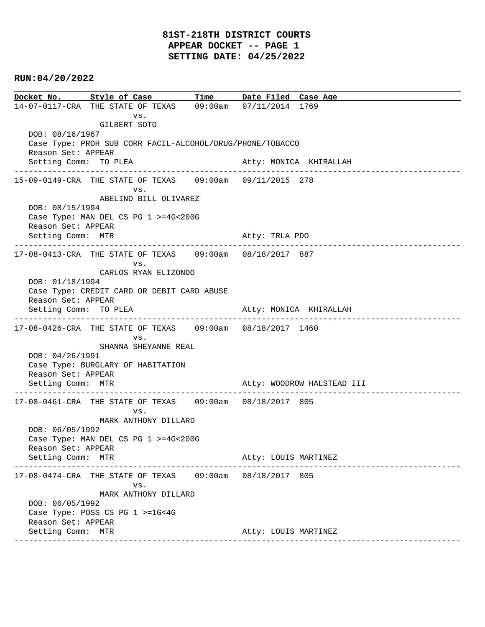# **81ST-218TH DISTRICT COURTS APPEAR DOCKET -- PAGE 1 SETTING DATE: 04/25/2022**

## **RUN:04/20/2022**

**Docket No. Style of Case Time Date Filed Case Age**  14-07-0117-CRA THE STATE OF TEXAS 09:00am 07/11/2014 1769 vs. GILBERT SOTO DOB: 08/16/1967 Case Type: PROH SUB CORR FACIL-ALCOHOL/DRUG/PHONE/TOBACCO Reason Set: APPEAR Setting Comm: TO PLEA Atty: MONICA KHIRALLAH ---------------------------------------------------------------------------------------------- 15-09-0149-CRA THE STATE OF TEXAS 09:00am 09/11/2015 278 vs. ABELINO BILL OLIVAREZ DOB: 08/15/1994 Case Type: MAN DEL CS PG 1 >=4G<200G Reason Set: APPEAR Setting Comm: MTR Atty: TRLA PDO ---------------------------------------------------------------------------------------------- 17-08-0413-CRA THE STATE OF TEXAS 09:00am 08/18/2017 887 vs. CARLOS RYAN ELIZONDO DOB: 01/18/1994 Case Type: CREDIT CARD OR DEBIT CARD ABUSE Reason Set: APPEAR Setting Comm: TO PLEA Atty: MONICA KHIRALLAH ---------------------------------------------------------------------------------------------- 17-08-0426-CRA THE STATE OF TEXAS 09:00am 08/18/2017 1460 vs. SHANNA SHEYANNE REAL DOB: 04/26/1991 Case Type: BURGLARY OF HABITATION Reason Set: APPEAR Setting Comm: MTR Atty: WOODROW HALSTEAD III ---------------------------------------------------------------------------------------------- 17-08-0461-CRA THE STATE OF TEXAS 09:00am 08/18/2017 805 vs. MARK ANTHONY DILLARD DOB: 06/05/1992 Case Type: MAN DEL CS PG 1 >=4G<200G Reason Set: APPEAR Setting Comm: MTR Atty: LOUIS MARTINEZ ---------------------------------------------------------------------------------------------- 17-08-0474-CRA THE STATE OF TEXAS 09:00am 08/18/2017 805 vs. MARK ANTHONY DILLARD DOB: 06/05/1992 Case Type: POSS CS PG 1 >=1G<4G Reason Set: APPEAR Setting Comm: MTR **Atty: LOUIS MARTINEZ** ----------------------------------------------------------------------------------------------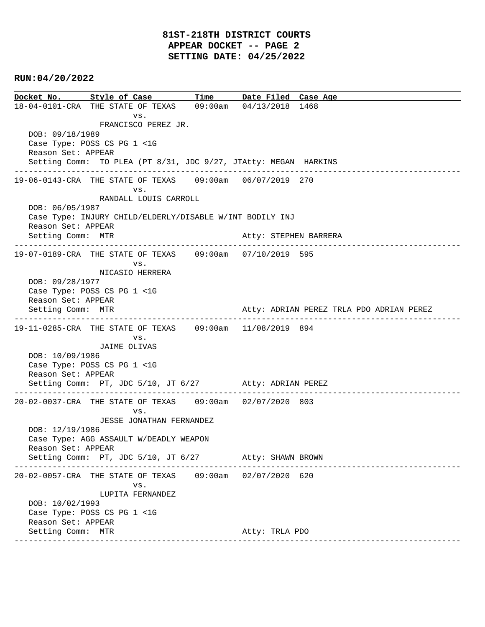**Docket No. Style of Case Time Date Filed Case Age**  18-04-0101-CRA THE STATE OF TEXAS 09:00am 04/13/2018 1468 vs. FRANCISCO PEREZ JR. DOB: 09/18/1989 Case Type: POSS CS PG 1 <1G Reason Set: APPEAR Setting Comm: TO PLEA (PT 8/31, JDC 9/27, JTAtty: MEGAN HARKINS ---------------------------------------------------------------------------------------------- 19-06-0143-CRA THE STATE OF TEXAS 09:00am 06/07/2019 270 vs. RANDALL LOUIS CARROLL DOB: 06/05/1987 Case Type: INJURY CHILD/ELDERLY/DISABLE W/INT BODILY INJ Reason Set: APPEAR Setting Comm: MTR Atty: STEPHEN BARRERA ---------------------------------------------------------------------------------------------- 19-07-0189-CRA THE STATE OF TEXAS 09:00am 07/10/2019 595 vs. NICASIO HERRERA DOB: 09/28/1977 Case Type: POSS CS PG 1 <1G Reason Set: APPEAR Setting Comm: MTR **Atty: ADRIAN PEREZ TRLA PDO ADRIAN PEREZ** ---------------------------------------------------------------------------------------------- 19-11-0285-CRA THE STATE OF TEXAS 09:00am 11/08/2019 894 vs. JAIME OLIVAS DOB: 10/09/1986 Case Type: POSS CS PG 1 <1G Reason Set: APPEAR Setting Comm: PT, JDC 5/10, JT 6/27 Atty: ADRIAN PEREZ ---------------------------------------------------------------------------------------------- 20-02-0037-CRA THE STATE OF TEXAS 09:00am 02/07/2020 803 vs. JESSE JONATHAN FERNANDEZ DOB: 12/19/1986 Case Type: AGG ASSAULT W/DEADLY WEAPON Reason Set: APPEAR Setting Comm: PT, JDC 5/10, JT 6/27 Atty: SHAWN BROWN ---------------------------------------------------------------------------------------------- 20-02-0057-CRA THE STATE OF TEXAS 09:00am 02/07/2020 620 vs. LUPITA FERNANDEZ DOB: 10/02/1993 Case Type: POSS CS PG 1 <1G Reason Set: APPEAR Setting Comm: MTR Atty: TRLA PDO ----------------------------------------------------------------------------------------------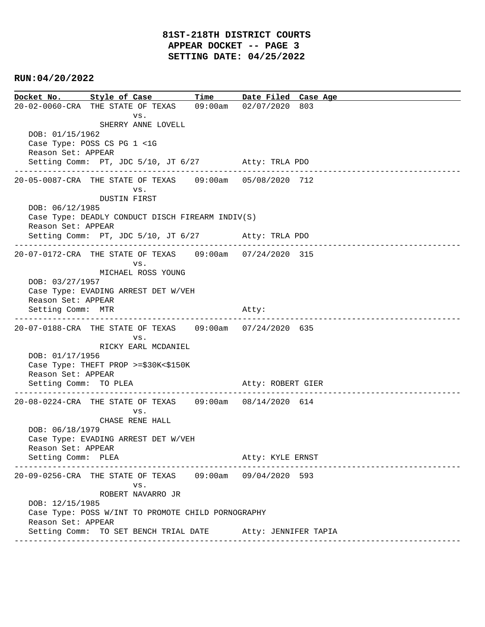**Docket No. Style of Case Time Date Filed Case Age**  20-02-0060-CRA THE STATE OF TEXAS 09:00am 02/07/2020 803 vs. SHERRY ANNE LOVELL DOB: 01/15/1962 Case Type: POSS CS PG 1 <1G Reason Set: APPEAR Setting Comm: PT, JDC 5/10, JT 6/27 Atty: TRLA PDO ---------------------------------------------------------------------------------------------- 20-05-0087-CRA THE STATE OF TEXAS 09:00am 05/08/2020 712 vs. DUSTIN FIRST DOB: 06/12/1985 Case Type: DEADLY CONDUCT DISCH FIREARM INDIV(S) Reason Set: APPEAR Setting Comm: PT, JDC 5/10, JT 6/27 Atty: TRLA PDO ---------------------------------------------------------------------------------------------- 20-07-0172-CRA THE STATE OF TEXAS 09:00am 07/24/2020 315 vs. MICHAEL ROSS YOUNG DOB: 03/27/1957 Case Type: EVADING ARREST DET W/VEH Reason Set: APPEAR Setting Comm: MTR Atty: ---------------------------------------------------------------------------------------------- 20-07-0188-CRA THE STATE OF TEXAS 09:00am 07/24/2020 635 vs. RICKY EARL MCDANIEL DOB: 01/17/1956 Case Type: THEFT PROP >=\$30K<\$150K Reason Set: APPEAR Setting Comm: TO PLEA Atty: ROBERT GIER ---------------------------------------------------------------------------------------------- 20-08-0224-CRA THE STATE OF TEXAS 09:00am 08/14/2020 614 vs. CHASE RENE HALL DOB: 06/18/1979 Case Type: EVADING ARREST DET W/VEH Reason Set: APPEAR Setting Comm: PLEA Atty: KYLE ERNST ---------------------------------------------------------------------------------------------- 20-09-0256-CRA THE STATE OF TEXAS 09:00am 09/04/2020 593 vs. ROBERT NAVARRO JR DOB: 12/15/1985 Case Type: POSS W/INT TO PROMOTE CHILD PORNOGRAPHY Reason Set: APPEAR Setting Comm: TO SET BENCH TRIAL DATE Atty: JENNIFER TAPIA ----------------------------------------------------------------------------------------------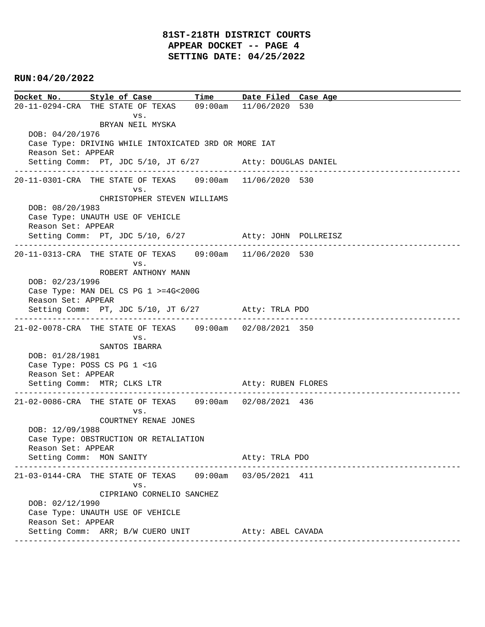# **81ST-218TH DISTRICT COURTS APPEAR DOCKET -- PAGE 4 SETTING DATE: 04/25/2022**

## **RUN:04/20/2022**

**Docket No. Style of Case Time Date Filed Case Age**  20-11-0294-CRA THE STATE OF TEXAS 09:00am 11/06/2020 530 vs. BRYAN NEIL MYSKA DOB: 04/20/1976 Case Type: DRIVING WHILE INTOXICATED 3RD OR MORE IAT Reason Set: APPEAR Setting Comm: PT, JDC 5/10, JT 6/27 Atty: DOUGLAS DANIEL ---------------------------------------------------------------------------------------------- 20-11-0301-CRA THE STATE OF TEXAS 09:00am 11/06/2020 530 vs. CHRISTOPHER STEVEN WILLIAMS DOB: 08/20/1983 Case Type: UNAUTH USE OF VEHICLE Reason Set: APPEAR Setting Comm: PT, JDC 5/10, 6/27 Atty: JOHN POLLREISZ ---------------------------------------------------------------------------------------------- 20-11-0313-CRA THE STATE OF TEXAS 09:00am 11/06/2020 530 vs. ROBERT ANTHONY MANN DOB: 02/23/1996 Case Type: MAN DEL CS PG 1 >=4G<200G Reason Set: APPEAR Setting Comm: PT, JDC 5/10, JT 6/27 Atty: TRLA PDO ---------------------------------------------------------------------------------------------- 21-02-0078-CRA THE STATE OF TEXAS 09:00am 02/08/2021 350 vs. SANTOS IBARRA DOB: 01/28/1981 Case Type: POSS CS PG 1 <1G Reason Set: APPEAR Setting Comm: MTR; CLKS LTR Atty: RUBEN FLORES ---------------------------------------------------------------------------------------------- 21-02-0086-CRA THE STATE OF TEXAS 09:00am 02/08/2021 436 vs. COURTNEY RENAE JONES DOB: 12/09/1988 Case Type: OBSTRUCTION OR RETALIATION Reason Set: APPEAR Setting Comm: MON SANITY Atty: TRLA PDO ---------------------------------------------------------------------------------------------- 21-03-0144-CRA THE STATE OF TEXAS 09:00am 03/05/2021 411 vs. CIPRIANO CORNELIO SANCHEZ DOB: 02/12/1990 Case Type: UNAUTH USE OF VEHICLE Reason Set: APPEAR Setting Comm: ARR; B/W CUERO UNIT Atty: ABEL CAVADA ----------------------------------------------------------------------------------------------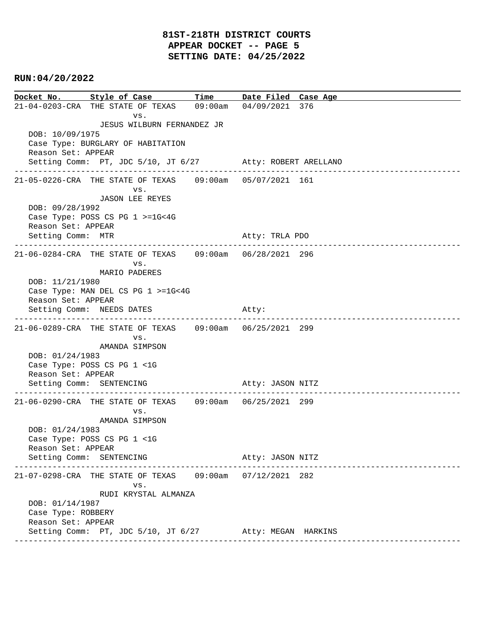**Docket No. Style of Case Time Date Filed Case Age**  21-04-0203-CRA THE STATE OF TEXAS 09:00am 04/09/2021 376 vs. JESUS WILBURN FERNANDEZ JR DOB: 10/09/1975 Case Type: BURGLARY OF HABITATION Reason Set: APPEAR Setting Comm: PT, JDC 5/10, JT 6/27 Atty: ROBERT ARELLANO ---------------------------------------------------------------------------------------------- 21-05-0226-CRA THE STATE OF TEXAS 09:00am 05/07/2021 161 vs. JASON LEE REYES DOB: 09/28/1992 Case Type: POSS CS PG 1 >=1G<4G Reason Set: APPEAR Setting Comm: MTR Atty: TRLA PDO ---------------------------------------------------------------------------------------------- 21-06-0284-CRA THE STATE OF TEXAS 09:00am 06/28/2021 296 vs. MARIO PADERES DOB: 11/21/1980 Case Type: MAN DEL CS PG 1 >=1G<4G Reason Set: APPEAR Setting Comm: NEEDS DATES Atty: ---------------------------------------------------------------------------------------------- 21-06-0289-CRA THE STATE OF TEXAS 09:00am 06/25/2021 299 vs. AMANDA SIMPSON DOB: 01/24/1983 Case Type: POSS CS PG 1 <1G Reason Set: APPEAR Setting Comm: SENTENCING Atty: JASON NITZ ---------------------------------------------------------------------------------------------- 21-06-0290-CRA THE STATE OF TEXAS 09:00am 06/25/2021 299 vs. AMANDA SIMPSON DOB: 01/24/1983 Case Type: POSS CS PG 1 <1G Reason Set: APPEAR Setting Comm: SENTENCING Atty: JASON NITZ ---------------------------------------------------------------------------------------------- 21-07-0298-CRA THE STATE OF TEXAS 09:00am 07/12/2021 282 vs. RUDI KRYSTAL ALMANZA DOB: 01/14/1987 Case Type: ROBBERY Reason Set: APPEAR Setting Comm: PT, JDC 5/10, JT 6/27 Atty: MEGAN HARKINS ----------------------------------------------------------------------------------------------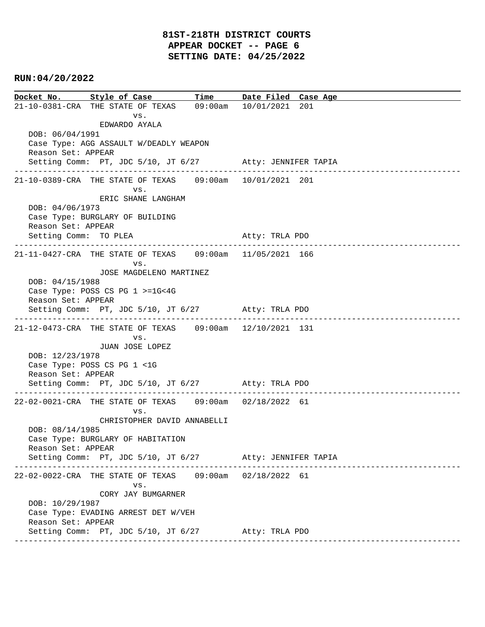**Docket No. Style of Case Time Date Filed Case Age**  21-10-0381-CRA THE STATE OF TEXAS 09:00am 10/01/2021 201 vs. EDWARDO AYALA DOB: 06/04/1991 Case Type: AGG ASSAULT W/DEADLY WEAPON Reason Set: APPEAR Setting Comm: PT, JDC 5/10, JT 6/27 Atty: JENNIFER TAPIA ---------------------------------------------------------------------------------------------- 21-10-0389-CRA THE STATE OF TEXAS 09:00am 10/01/2021 201 vs. ERIC SHANE LANGHAM DOB: 04/06/1973 Case Type: BURGLARY OF BUILDING Reason Set: APPEAR Setting Comm: TO PLEA Atty: TRLA PDO ---------------------------------------------------------------------------------------------- 21-11-0427-CRA THE STATE OF TEXAS 09:00am 11/05/2021 166 vs. JOSE MAGDELENO MARTINEZ DOB: 04/15/1988 Case Type: POSS CS PG 1 >=1G<4G Reason Set: APPEAR Setting Comm: PT, JDC 5/10, JT 6/27 Atty: TRLA PDO ---------------------------------------------------------------------------------------------- 21-12-0473-CRA THE STATE OF TEXAS 09:00am 12/10/2021 131 vs. JUAN JOSE LOPEZ DOB: 12/23/1978 Case Type: POSS CS PG 1 <1G Reason Set: APPEAR Setting Comm: PT, JDC 5/10, JT 6/27 Atty: TRLA PDO ---------------------------------------------------------------------------------------------- 22-02-0021-CRA THE STATE OF TEXAS 09:00am 02/18/2022 61 vs. CHRISTOPHER DAVID ANNABELLI DOB: 08/14/1985 Case Type: BURGLARY OF HABITATION Reason Set: APPEAR Setting Comm: PT, JDC 5/10, JT 6/27 Atty: JENNIFER TAPIA ---------------------------------------------------------------------------------------------- 22-02-0022-CRA THE STATE OF TEXAS 09:00am 02/18/2022 61 vs. CORY JAY BUMGARNER DOB: 10/29/1987 Case Type: EVADING ARREST DET W/VEH Reason Set: APPEAR Setting Comm: PT, JDC 5/10, JT 6/27 Atty: TRLA PDO ----------------------------------------------------------------------------------------------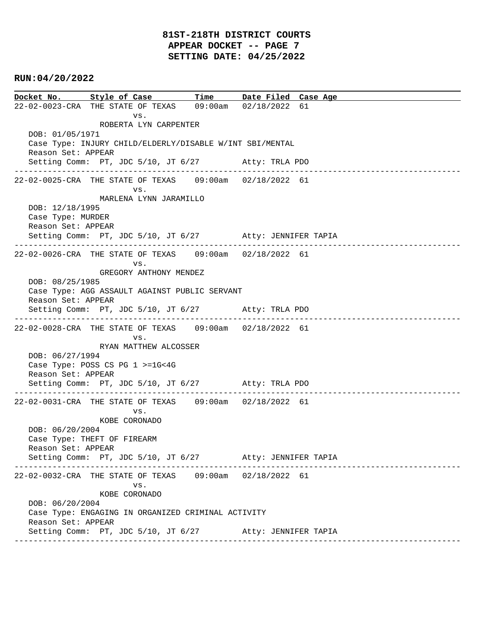# **81ST-218TH DISTRICT COURTS APPEAR DOCKET -- PAGE 7 SETTING DATE: 04/25/2022**

## **RUN:04/20/2022**

**Docket No. Style of Case Time Date Filed Case Age**  22-02-0023-CRA THE STATE OF TEXAS 09:00am 02/18/2022 61 vs. ROBERTA LYN CARPENTER DOB: 01/05/1971 Case Type: INJURY CHILD/ELDERLY/DISABLE W/INT SBI/MENTAL Reason Set: APPEAR Setting Comm: PT, JDC 5/10, JT 6/27 Atty: TRLA PDO ---------------------------------------------------------------------------------------------- 22-02-0025-CRA THE STATE OF TEXAS 09:00am 02/18/2022 61 vs. MARLENA LYNN JARAMILLO DOB: 12/18/1995 Case Type: MURDER Reason Set: APPEAR Setting Comm: PT, JDC 5/10, JT 6/27 Atty: JENNIFER TAPIA ---------------------------------------------------------------------------------------------- 22-02-0026-CRA THE STATE OF TEXAS 09:00am 02/18/2022 61 vs. GREGORY ANTHONY MENDEZ DOB: 08/25/1985 Case Type: AGG ASSAULT AGAINST PUBLIC SERVANT Reason Set: APPEAR Setting Comm: PT, JDC 5/10, JT 6/27 Atty: TRLA PDO ---------------------------------------------------------------------------------------------- 22-02-0028-CRA THE STATE OF TEXAS 09:00am 02/18/2022 61 vs. RYAN MATTHEW ALCOSSER DOB: 06/27/1994 Case Type: POSS CS PG 1 >=1G<4G Reason Set: APPEAR Setting Comm: PT, JDC 5/10, JT 6/27 Atty: TRLA PDO ---------------------------------------------------------------------------------------------- 22-02-0031-CRA THE STATE OF TEXAS 09:00am 02/18/2022 61 vs. KOBE CORONADO DOB: 06/20/2004 Case Type: THEFT OF FIREARM Reason Set: APPEAR Setting Comm: PT, JDC 5/10, JT 6/27 Atty: JENNIFER TAPIA ---------------------------------------------------------------------------------------------- 22-02-0032-CRA THE STATE OF TEXAS 09:00am 02/18/2022 61 vs. KOBE CORONADO DOB: 06/20/2004 Case Type: ENGAGING IN ORGANIZED CRIMINAL ACTIVITY Reason Set: APPEAR Setting Comm: PT, JDC 5/10, JT 6/27 Atty: JENNIFER TAPIA ----------------------------------------------------------------------------------------------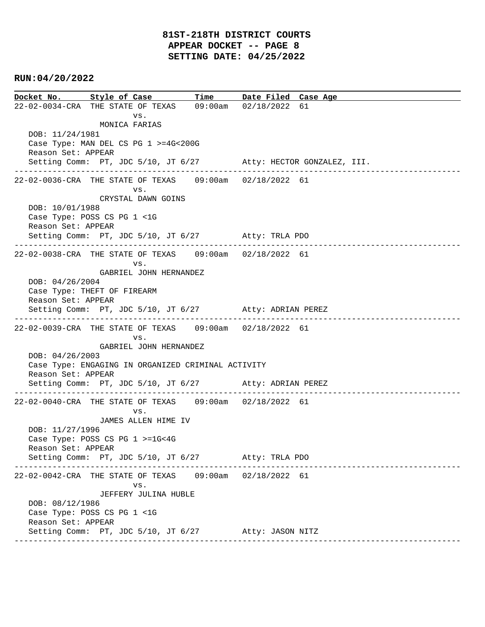**Docket No. Style of Case Time Date Filed Case Age**  22-02-0034-CRA THE STATE OF TEXAS 09:00am 02/18/2022 61 vs. MONICA FARIAS DOB: 11/24/1981 Case Type: MAN DEL CS PG 1 >=4G<200G Reason Set: APPEAR Setting Comm: PT, JDC 5/10, JT 6/27 Atty: HECTOR GONZALEZ, III. ---------------------------------------------------------------------------------------------- 22-02-0036-CRA THE STATE OF TEXAS 09:00am 02/18/2022 61 vs. CRYSTAL DAWN GOINS DOB: 10/01/1988 Case Type: POSS CS PG 1 <1G Reason Set: APPEAR Setting Comm: PT, JDC 5/10, JT 6/27 Atty: TRLA PDO ---------------------------------------------------------------------------------------------- 22-02-0038-CRA THE STATE OF TEXAS 09:00am 02/18/2022 61 vs. GABRIEL JOHN HERNANDEZ DOB: 04/26/2004 Case Type: THEFT OF FIREARM Reason Set: APPEAR Setting Comm: PT, JDC 5/10, JT 6/27 Atty: ADRIAN PEREZ ---------------------------------------------------------------------------------------------- 22-02-0039-CRA THE STATE OF TEXAS 09:00am 02/18/2022 61 vs. GABRIEL JOHN HERNANDEZ DOB: 04/26/2003 Case Type: ENGAGING IN ORGANIZED CRIMINAL ACTIVITY Reason Set: APPEAR Setting Comm: PT, JDC 5/10, JT 6/27 Atty: ADRIAN PEREZ ---------------------------------------------------------------------------------------------- 22-02-0040-CRA THE STATE OF TEXAS 09:00am 02/18/2022 61 vs. JAMES ALLEN HIME IV DOB: 11/27/1996 Case Type: POSS CS PG 1 >=1G<4G Reason Set: APPEAR Setting Comm: PT, JDC 5/10, JT 6/27 Atty: TRLA PDO ---------------------------------------------------------------------------------------------- 22-02-0042-CRA THE STATE OF TEXAS 09:00am 02/18/2022 61 vs. JEFFERY JULINA HUBLE DOB: 08/12/1986 Case Type: POSS CS PG 1 <1G Reason Set: APPEAR Setting Comm: PT, JDC 5/10, JT 6/27 Atty: JASON NITZ ----------------------------------------------------------------------------------------------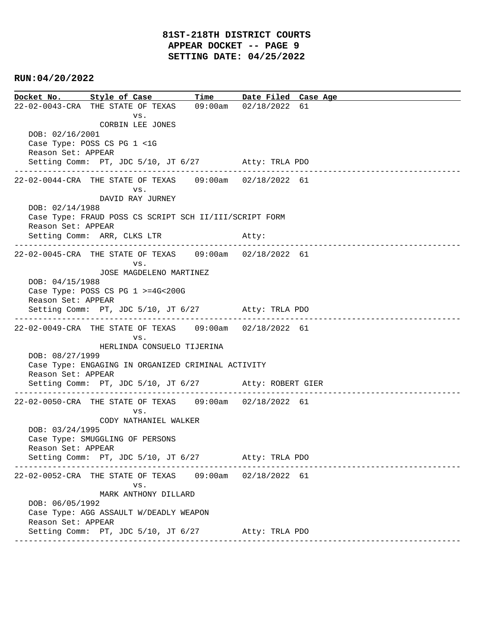**Docket No. Style of Case Time Date Filed Case Age**  22-02-0043-CRA THE STATE OF TEXAS 09:00am 02/18/2022 61 vs. CORBIN LEE JONES DOB: 02/16/2001 Case Type: POSS CS PG 1 <1G Reason Set: APPEAR Setting Comm: PT, JDC 5/10, JT 6/27 Atty: TRLA PDO ---------------------------------------------------------------------------------------------- 22-02-0044-CRA THE STATE OF TEXAS 09:00am 02/18/2022 61 vs. DAVID RAY JURNEY DOB: 02/14/1988 Case Type: FRAUD POSS CS SCRIPT SCH II/III/SCRIPT FORM Reason Set: APPEAR Setting Comm: ARR, CLKS LTR Atty: ---------------------------------------------------------------------------------------------- 22-02-0045-CRA THE STATE OF TEXAS 09:00am 02/18/2022 61 vs. JOSE MAGDELENO MARTINEZ DOB: 04/15/1988 Case Type: POSS CS PG 1 >=4G<200G Reason Set: APPEAR Setting Comm: PT, JDC 5/10, JT 6/27 Atty: TRLA PDO ---------------------------------------------------------------------------------------------- 22-02-0049-CRA THE STATE OF TEXAS 09:00am 02/18/2022 61 vs. HERLINDA CONSUELO TIJERINA DOB: 08/27/1999 Case Type: ENGAGING IN ORGANIZED CRIMINAL ACTIVITY Reason Set: APPEAR Setting Comm: PT, JDC 5/10, JT 6/27 Atty: ROBERT GIER ---------------------------------------------------------------------------------------------- 22-02-0050-CRA THE STATE OF TEXAS 09:00am 02/18/2022 61 vs. CODY NATHANIEL WALKER DOB: 03/24/1995 Case Type: SMUGGLING OF PERSONS Reason Set: APPEAR Setting Comm: PT, JDC 5/10, JT 6/27 Atty: TRLA PDO ---------------------------------------------------------------------------------------------- 22-02-0052-CRA THE STATE OF TEXAS 09:00am 02/18/2022 61 vs. MARK ANTHONY DILLARD DOB: 06/05/1992 Case Type: AGG ASSAULT W/DEADLY WEAPON Reason Set: APPEAR Setting Comm: PT, JDC 5/10, JT 6/27 Atty: TRLA PDO ----------------------------------------------------------------------------------------------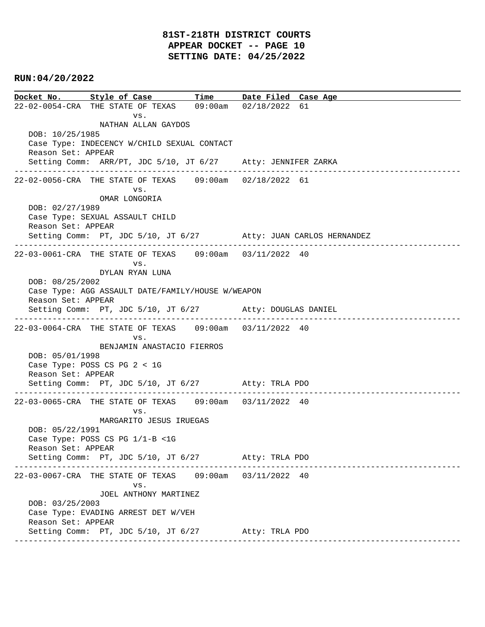**Docket No. Style of Case Time Date Filed Case Age**  22-02-0054-CRA THE STATE OF TEXAS 09:00am 02/18/2022 61 vs. NATHAN ALLAN GAYDOS DOB: 10/25/1985 Case Type: INDECENCY W/CHILD SEXUAL CONTACT Reason Set: APPEAR Setting Comm: ARR/PT, JDC 5/10, JT 6/27 Atty: JENNIFER ZARKA ---------------------------------------------------------------------------------------------- 22-02-0056-CRA THE STATE OF TEXAS 09:00am 02/18/2022 61 vs. OMAR LONGORIA DOB: 02/27/1989 Case Type: SEXUAL ASSAULT CHILD Reason Set: APPEAR Setting Comm: PT, JDC 5/10, JT 6/27 Atty: JUAN CARLOS HERNANDEZ ---------------------------------------------------------------------------------------------- 22-03-0061-CRA THE STATE OF TEXAS 09:00am 03/11/2022 40 vs. DYLAN RYAN LUNA DOB: 08/25/2002 Case Type: AGG ASSAULT DATE/FAMILY/HOUSE W/WEAPON Reason Set: APPEAR Setting Comm: PT, JDC 5/10, JT 6/27 Atty: DOUGLAS DANIEL ---------------------------------------------------------------------------------------------- 22-03-0064-CRA THE STATE OF TEXAS 09:00am 03/11/2022 40 vs. BENJAMIN ANASTACIO FIERROS DOB: 05/01/1998 Case Type: POSS CS PG 2 < 1G Reason Set: APPEAR Setting Comm: PT, JDC 5/10, JT 6/27 Atty: TRLA PDO ---------------------------------------------------------------------------------------------- 22-03-0065-CRA THE STATE OF TEXAS 09:00am 03/11/2022 40 vs. MARGARITO JESUS IRUEGAS DOB: 05/22/1991 Case Type: POSS CS PG 1/1-B <1G Reason Set: APPEAR Setting Comm: PT, JDC 5/10, JT 6/27 Atty: TRLA PDO ---------------------------------------------------------------------------------------------- 22-03-0067-CRA THE STATE OF TEXAS 09:00am 03/11/2022 40 vs. JOEL ANTHONY MARTINEZ DOB: 03/25/2003 Case Type: EVADING ARREST DET W/VEH Reason Set: APPEAR Setting Comm: PT, JDC 5/10, JT 6/27 Atty: TRLA PDO ----------------------------------------------------------------------------------------------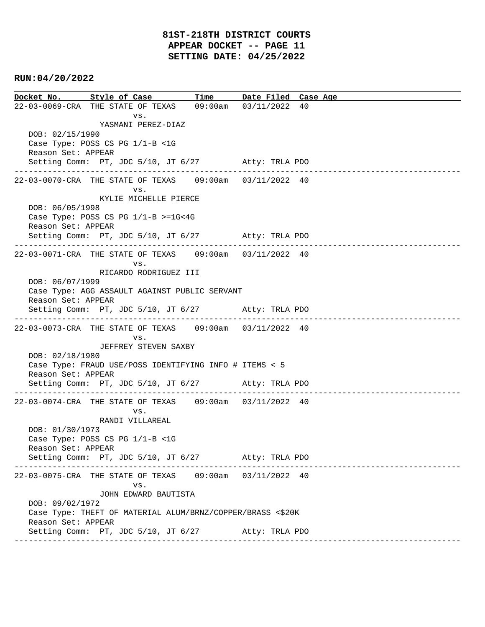**Docket No. Style of Case Time Date Filed Case Age**  22-03-0069-CRA THE STATE OF TEXAS 09:00am 03/11/2022 40 vs. YASMANI PEREZ-DIAZ DOB: 02/15/1990 Case Type: POSS CS PG 1/1-B <1G Reason Set: APPEAR Setting Comm: PT, JDC 5/10, JT 6/27 Atty: TRLA PDO ---------------------------------------------------------------------------------------------- 22-03-0070-CRA THE STATE OF TEXAS 09:00am 03/11/2022 40 vs. KYLIE MICHELLE PIERCE DOB: 06/05/1998 Case Type: POSS CS PG 1/1-B >=1G<4G Reason Set: APPEAR Setting Comm: PT, JDC 5/10, JT 6/27 Atty: TRLA PDO ---------------------------------------------------------------------------------------------- 22-03-0071-CRA THE STATE OF TEXAS 09:00am 03/11/2022 40 vs. RICARDO RODRIGUEZ III DOB: 06/07/1999 Case Type: AGG ASSAULT AGAINST PUBLIC SERVANT Reason Set: APPEAR Setting Comm: PT, JDC 5/10, JT 6/27 Atty: TRLA PDO ---------------------------------------------------------------------------------------------- 22-03-0073-CRA THE STATE OF TEXAS 09:00am 03/11/2022 40 vs. JEFFREY STEVEN SAXBY DOB: 02/18/1980 Case Type: FRAUD USE/POSS IDENTIFYING INFO # ITEMS < 5 Reason Set: APPEAR Setting Comm: PT, JDC 5/10, JT 6/27 Atty: TRLA PDO ---------------------------------------------------------------------------------------------- 22-03-0074-CRA THE STATE OF TEXAS 09:00am 03/11/2022 40 vs. RANDI VILLAREAL DOB: 01/30/1973 Case Type: POSS CS PG 1/1-B <1G Reason Set: APPEAR Setting Comm: PT, JDC 5/10, JT 6/27 Atty: TRLA PDO ---------------------------------------------------------------------------------------------- 22-03-0075-CRA THE STATE OF TEXAS 09:00am 03/11/2022 40 vs. JOHN EDWARD BAUTISTA DOB: 09/02/1972 Case Type: THEFT OF MATERIAL ALUM/BRNZ/COPPER/BRASS <\$20K Reason Set: APPEAR Setting Comm: PT, JDC 5/10, JT 6/27 Atty: TRLA PDO ----------------------------------------------------------------------------------------------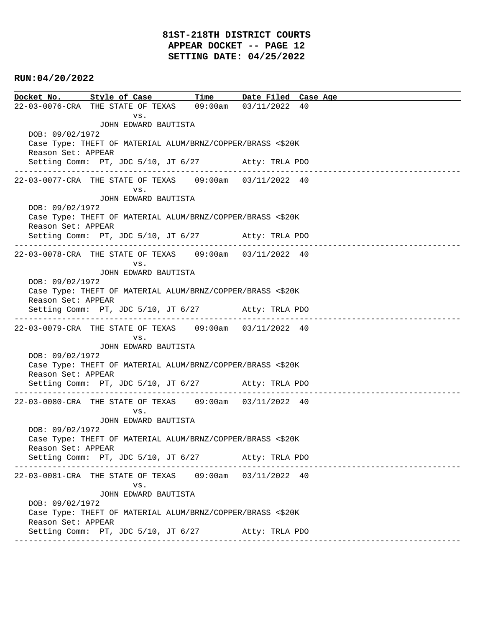# **81ST-218TH DISTRICT COURTS APPEAR DOCKET -- PAGE 12 SETTING DATE: 04/25/2022**

## **RUN:04/20/2022**

**Docket No. Style of Case Time Date Filed Case Age**  22-03-0076-CRA THE STATE OF TEXAS 09:00am 03/11/2022 40 vs. JOHN EDWARD BAUTISTA DOB: 09/02/1972 Case Type: THEFT OF MATERIAL ALUM/BRNZ/COPPER/BRASS <\$20K Reason Set: APPEAR Setting Comm: PT, JDC 5/10, JT 6/27 Atty: TRLA PDO ---------------------------------------------------------------------------------------------- 22-03-0077-CRA THE STATE OF TEXAS 09:00am 03/11/2022 40 vs. JOHN EDWARD BAUTISTA DOB: 09/02/1972 Case Type: THEFT OF MATERIAL ALUM/BRNZ/COPPER/BRASS <\$20K Reason Set: APPEAR Setting Comm: PT, JDC 5/10, JT 6/27 Atty: TRLA PDO ---------------------------------------------------------------------------------------------- 22-03-0078-CRA THE STATE OF TEXAS 09:00am 03/11/2022 40 vs. JOHN EDWARD BAUTISTA DOB: 09/02/1972 Case Type: THEFT OF MATERIAL ALUM/BRNZ/COPPER/BRASS <\$20K Reason Set: APPEAR Setting Comm: PT, JDC 5/10, JT 6/27 Atty: TRLA PDO ---------------------------------------------------------------------------------------------- 22-03-0079-CRA THE STATE OF TEXAS 09:00am 03/11/2022 40 vs. JOHN EDWARD BAUTISTA DOB: 09/02/1972 Case Type: THEFT OF MATERIAL ALUM/BRNZ/COPPER/BRASS <\$20K Reason Set: APPEAR Setting Comm: PT, JDC 5/10, JT 6/27 Atty: TRLA PDO ---------------------------------------------------------------------------------------------- 22-03-0080-CRA THE STATE OF TEXAS 09:00am 03/11/2022 40 vs. JOHN EDWARD BAUTISTA DOB: 09/02/1972 Case Type: THEFT OF MATERIAL ALUM/BRNZ/COPPER/BRASS <\$20K Reason Set: APPEAR Setting Comm: PT, JDC 5/10, JT 6/27 Atty: TRLA PDO ---------------------------------------------------------------------------------------------- 22-03-0081-CRA THE STATE OF TEXAS 09:00am 03/11/2022 40 vs. JOHN EDWARD BAUTISTA DOB: 09/02/1972 Case Type: THEFT OF MATERIAL ALUM/BRNZ/COPPER/BRASS <\$20K Reason Set: APPEAR Setting Comm: PT, JDC 5/10, JT 6/27 Atty: TRLA PDO ----------------------------------------------------------------------------------------------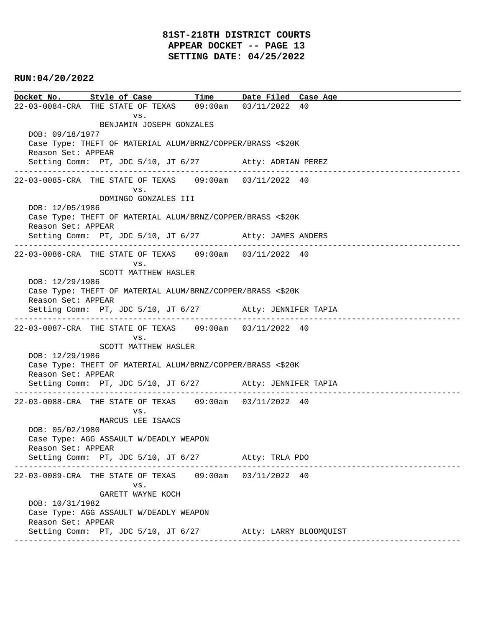# **81ST-218TH DISTRICT COURTS APPEAR DOCKET -- PAGE 13 SETTING DATE: 04/25/2022**

## **RUN:04/20/2022**

**Docket No. Style of Case Time Date Filed Case Age**  22-03-0084-CRA THE STATE OF TEXAS 09:00am 03/11/2022 40 vs. BENJAMIN JOSEPH GONZALES DOB: 09/18/1977 Case Type: THEFT OF MATERIAL ALUM/BRNZ/COPPER/BRASS <\$20K Reason Set: APPEAR Setting Comm: PT, JDC 5/10, JT 6/27 Atty: ADRIAN PEREZ ---------------------------------------------------------------------------------------------- 22-03-0085-CRA THE STATE OF TEXAS 09:00am 03/11/2022 40 vs. DOMINGO GONZALES III DOB: 12/05/1986 Case Type: THEFT OF MATERIAL ALUM/BRNZ/COPPER/BRASS <\$20K Reason Set: APPEAR Setting Comm: PT, JDC 5/10, JT 6/27 Atty: JAMES ANDERS ---------------------------------------------------------------------------------------------- 22-03-0086-CRA THE STATE OF TEXAS 09:00am 03/11/2022 40 vs. SCOTT MATTHEW HASLER DOB: 12/29/1986 Case Type: THEFT OF MATERIAL ALUM/BRNZ/COPPER/BRASS <\$20K Reason Set: APPEAR Setting Comm: PT, JDC 5/10, JT 6/27 Atty: JENNIFER TAPIA ---------------------------------------------------------------------------------------------- 22-03-0087-CRA THE STATE OF TEXAS 09:00am 03/11/2022 40 vs. SCOTT MATTHEW HASLER DOB: 12/29/1986 Case Type: THEFT OF MATERIAL ALUM/BRNZ/COPPER/BRASS <\$20K Reason Set: APPEAR Setting Comm: PT, JDC 5/10, JT 6/27 Atty: JENNIFER TAPIA ---------------------------------------------------------------------------------------------- 22-03-0088-CRA THE STATE OF TEXAS 09:00am 03/11/2022 40 vs. MARCUS LEE ISAACS DOB: 05/02/1980 Case Type: AGG ASSAULT W/DEADLY WEAPON Reason Set: APPEAR Setting Comm: PT, JDC 5/10, JT 6/27 Atty: TRLA PDO ---------------------------------------------------------------------------------------------- 22-03-0089-CRA THE STATE OF TEXAS 09:00am 03/11/2022 40 vs. GARETT WAYNE KOCH DOB: 10/31/1982 Case Type: AGG ASSAULT W/DEADLY WEAPON Reason Set: APPEAR Setting Comm: PT, JDC 5/10, JT 6/27 Atty: LARRY BLOOMQUIST ----------------------------------------------------------------------------------------------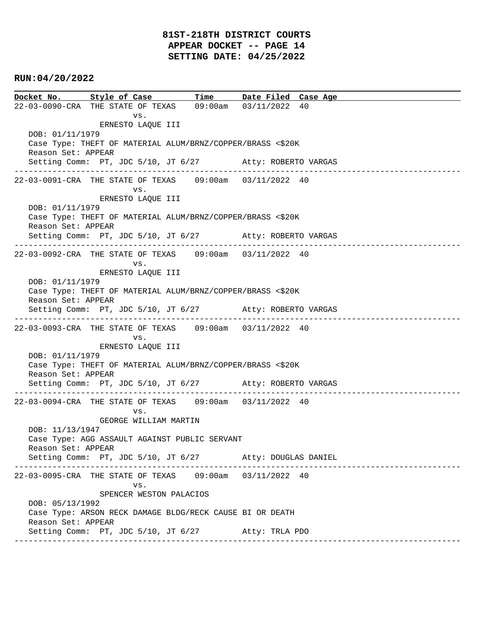# **81ST-218TH DISTRICT COURTS APPEAR DOCKET -- PAGE 14 SETTING DATE: 04/25/2022**

## **RUN:04/20/2022**

**Docket No. Style of Case Time Date Filed Case Age**  22-03-0090-CRA THE STATE OF TEXAS 09:00am 03/11/2022 40 vs. ERNESTO LAQUE III DOB: 01/11/1979 Case Type: THEFT OF MATERIAL ALUM/BRNZ/COPPER/BRASS <\$20K Reason Set: APPEAR Setting Comm: PT, JDC 5/10, JT 6/27 Atty: ROBERTO VARGAS ---------------------------------------------------------------------------------------------- 22-03-0091-CRA THE STATE OF TEXAS 09:00am 03/11/2022 40 vs. ERNESTO LAQUE III DOB: 01/11/1979 Case Type: THEFT OF MATERIAL ALUM/BRNZ/COPPER/BRASS <\$20K Reason Set: APPEAR Setting Comm: PT, JDC 5/10, JT 6/27 Atty: ROBERTO VARGAS ---------------------------------------------------------------------------------------------- 22-03-0092-CRA THE STATE OF TEXAS 09:00am 03/11/2022 40 vs. ERNESTO LAQUE III DOB: 01/11/1979 Case Type: THEFT OF MATERIAL ALUM/BRNZ/COPPER/BRASS <\$20K Reason Set: APPEAR Setting Comm: PT, JDC 5/10, JT 6/27 Atty: ROBERTO VARGAS ---------------------------------------------------------------------------------------------- 22-03-0093-CRA THE STATE OF TEXAS 09:00am 03/11/2022 40 vs. ERNESTO LAQUE III DOB: 01/11/1979 Case Type: THEFT OF MATERIAL ALUM/BRNZ/COPPER/BRASS <\$20K Reason Set: APPEAR Setting Comm: PT, JDC 5/10, JT 6/27 Atty: ROBERTO VARGAS ---------------------------------------------------------------------------------------------- 22-03-0094-CRA THE STATE OF TEXAS 09:00am 03/11/2022 40 vs. GEORGE WILLIAM MARTIN DOB: 11/13/1947 Case Type: AGG ASSAULT AGAINST PUBLIC SERVANT Reason Set: APPEAR Setting Comm: PT, JDC 5/10, JT 6/27 Atty: DOUGLAS DANIEL ---------------------------------------------------------------------------------------------- 22-03-0095-CRA THE STATE OF TEXAS 09:00am 03/11/2022 40 vs. SPENCER WESTON PALACIOS DOB: 05/13/1992 Case Type: ARSON RECK DAMAGE BLDG/RECK CAUSE BI OR DEATH Reason Set: APPEAR Setting Comm: PT, JDC 5/10, JT 6/27 Atty: TRLA PDO ----------------------------------------------------------------------------------------------